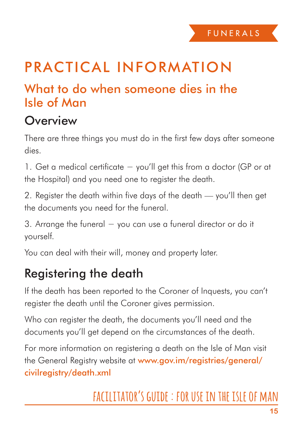## Practical information

#### What to do when someone dies in the Isle of Man

#### **Overview**

There are three things you must do in the first few days after someone dies.

1. Get a medical certificate − you'll get this from a doctor (GP or at the Hospital) and you need one to register the death.

2. Register the death within five days of the death — you'll then get the documents you need for the funeral.

3. Arrange the funeral − you can use a funeral director or do it yourself.

You can deal with their will, money and property later.

### Registering the death

If the death has been reported to the Coroner of Inquests, you can't register the death until the Coroner gives permission.

Who can register the death, the documents you'll need and the documents you'll get depend on the circumstances of the death.

For more information on registering a death on the Isle of Man visit the General Registry website at www.gov.im/registries/general/ civilregistry/death.xml

# **facilitator's guide : for use in the isle of man**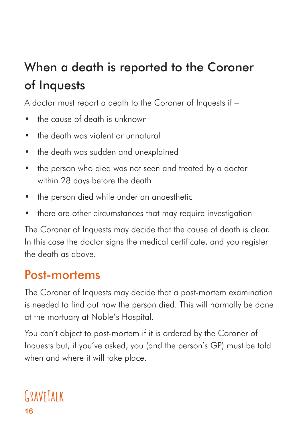# When a death is reported to the Coroner of Inquests

A doctor must report a death to the Coroner of Inquests if –

- • the cause of death is unknown
- the death was violent or unnatural
- the death was sudden and unexplained
- the person who died was not seen and treated by a doctor within 28 days before the death
- the person died while under an anaesthetic
- there are other circumstances that may require investigation

The Coroner of Inquests may decide that the cause of death is clear. In this case the doctor signs the medical certificate, and you register the death as above.

#### Post-mortems

The Coroner of Inquests may decide that a post-mortem examination is needed to find out how the person died. This will normally be done at the mortuary at Noble's Hospital.

You can't object to post-mortem if it is ordered by the Coroner of Inquests but, if you've asked, you (and the person's GP) must be told when and where it will take place.

# **GraveTalk**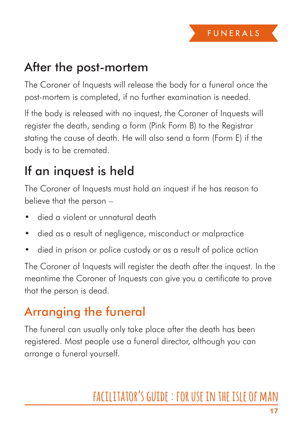#### After the post-mortem

The Coroner of Inquests will release the body for a funeral once the post-mortem is completed, if no further examination is needed.

lf the body is released with no inquest, the Coroner of Inquests will register the death, sending a form (Pink Form B) to the Registrar stating the cause of death. He will also send a form (Form E) if the body is to be cremated.

### If an inquest is held

The Coroner of Inquests must hold an inquest if he has reason to believe that the person –

- died a violent or unnatural death
- died as a result of negligence, misconduct or malpractice
- died in prison or police custody or as a result of police action

The Coroner of Inquests will register the death after the inquest. In the meantime the Coroner of Inquests can give you a certificate to prove that the person is dead.

### Arranging the funeral

The funeral can usually only take place after the death has been registered. Most people use a funeral director, although you can arrange a funeral yourself.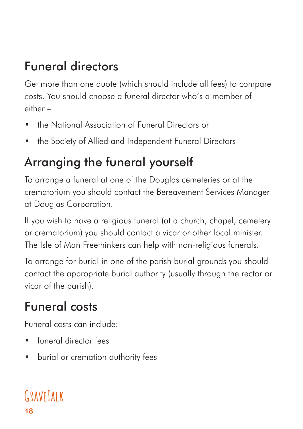## Funeral directors

Get more than one quote (which should include all fees) to compare costs. You should choose a funeral director who's a member of either –

- the National Association of Funeral Directors or
- the Society of Allied and Independent Funeral Directors

## Arranging the funeral yourself

To arrange a funeral at one of the Douglas cemeteries or at the crematorium you should contact the Bereavement Services Manager at Douglas Corporation.

If you wish to have a religious funeral (at a church, chapel, cemetery or crematorium) you should contact a vicar or other local minister. The Isle of Man Freethinkers can help with non-religious funerals.

To arrange for burial in one of the parish burial grounds you should contact the appropriate burial authority (usually through the rector or vicar of the parish).

## Funeral costs

Funeral costs can include:

- funeral director fees
- burial or cremation authority fees

# **GraveTalk**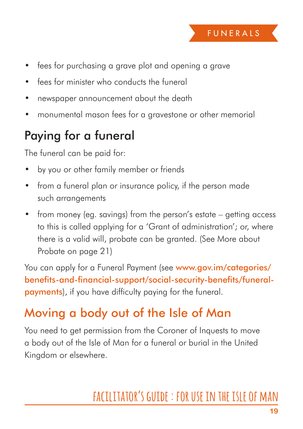- fees for purchasing a grave plot and opening a grave
- fees for minister who conducts the funeral
- newspaper announcement about the death
- monumental mason fees for a gravestone or other memorial

### Paying for a funeral

The funeral can be paid for:

- by you or other family member or friends
- from a funeral plan or insurance policy, if the person made such arrangements
- from money (eg. savings) from the person's estate getting access to this is called applying for a 'Grant of administration'; or, where there is a valid will, probate can be granted. (See More about Probate on page 21)

You can apply for a Funeral Payment (see www.gov.im/categories/ benefits-and-financial-support/social-security-benefits/funeralpayments), if you have difficulty paying for the funeral.

### Moving a body out of the Isle of Man

You need to get permission from the Coroner of Inquests to move a body out of the Isle of Man for a funeral or burial in the United Kingdom or elsewhere.

## **facilitator's guide : for use in the isle of man**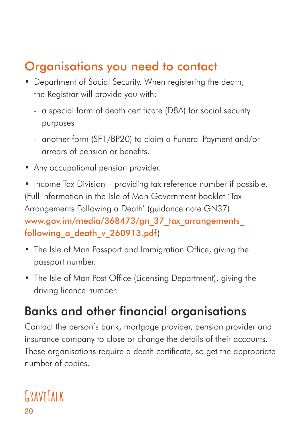## Organisations you need to contact

- Department of Social Security. When registering the death, the Registrar will provide you with:
	- a special form of death certificate (D8A) for social security purposes
	- another form (SF1/BP20) to claim a Funeral Payment and/or arrears of pension or benefits.
- Any occupational pension provider.

• Income Tax Division – providing tax reference number if possible. (Full information in the Isle of Man Government booklet 'Tax Arrangements Following a Death' (guidance note GN37) www.gov.im/media/368473/gn\_37\_tax\_arrangements following a death v 260913.pdf)

- The Isle of Man Passport and Immigration Office, giving the passport number.
- The Isle of Man Post Office (Licensing Department), giving the driving licence number.

## Banks and other financial organisations

Contact the person's bank, mortgage provider, pension provider and insurance company to close or change the details of their accounts. These organisations require a death certificate, so get the appropriate number of copies.

# **GraveTalk**